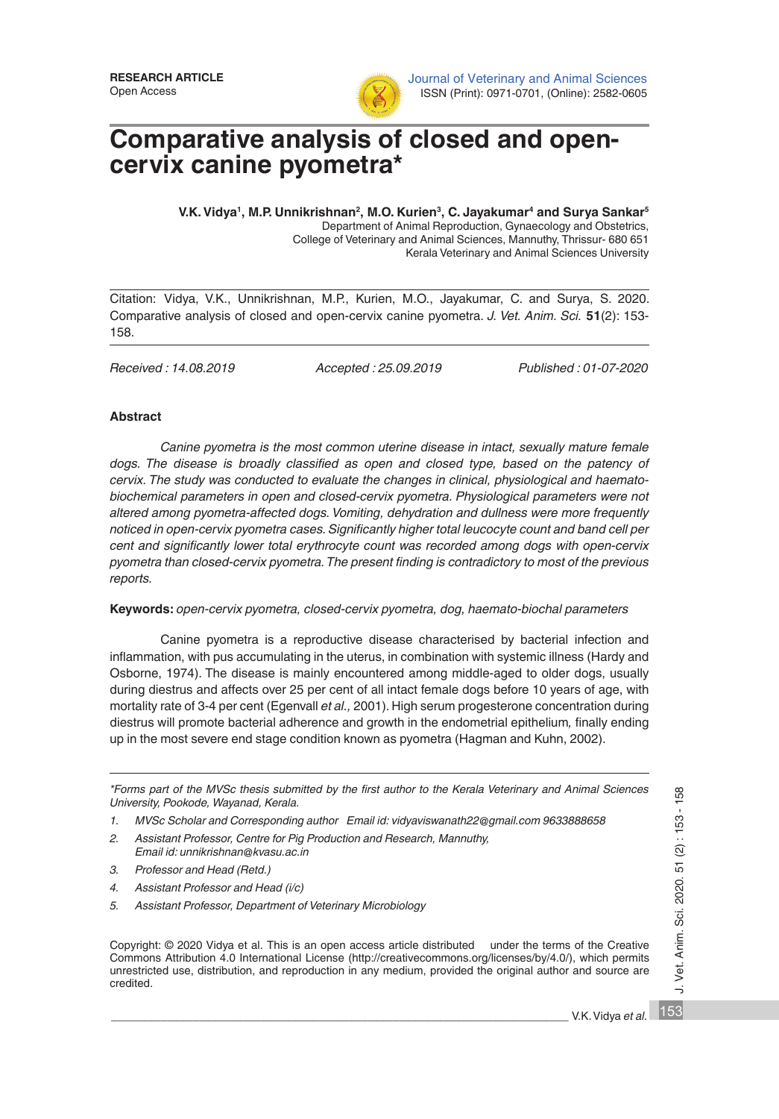

# **Comparative analysis of closed and opencervix canine pyometra\***

V.K. Vidya<sup>1</sup>, M.P. Unnikrishnan<sup>2</sup>, M.O. Kurien<sup>3</sup>, C. Jayakumar<sup>4</sup> and Surya Sankar<sup>5</sup> Department of Animal Reproduction, Gynaecology and Obstetrics, College of Veterinary and Animal Sciences, Mannuthy, Thrissur- 680 651 Kerala Veterinary and Animal Sciences University

Citation: Vidya, V.K., Unnikrishnan, M.P., Kurien, M.O., Jayakumar, C. and Surya, S. 2020. Comparative analysis of closed and open-cervix canine pyometra. *J. Vet. Anim. Sci.* **51**(2): 153- 158.

*Received : 14.08.2019 Accepted : 25.09.2019 Published : 01-07-2020*

## **Abstract**

*Canine pyometra is the most common uterine disease in intact, sexually mature female*  dogs. The disease is broadly classified as open and closed type, based on the patency of *cervix. The study was conducted to evaluate the changes in clinical, physiological and haematobiochemical parameters in open and closed-cervix pyometra. Physiological parameters were not altered among pyometra-affected dogs. Vomiting, dehydration and dullness were more frequently noticed in open-cervix pyometra cases. Significantly higher total leucocyte count and band cell per cent and significantly lower total erythrocyte count was recorded among dogs with open-cervix pyometra than closed-cervix pyometra. The present finding is contradictory to most of the previous reports.*

### **Keywords:** *open-cervix pyometra, closed-cervix pyometra, dog, haemato-biochal parameters*

Canine pyometra is a reproductive disease characterised by bacterial infection and inflammation, with pus accumulating in the uterus, in combination with systemic illness (Hardy and Osborne, 1974). The disease is mainly encountered among middle-aged to older dogs, usually during diestrus and affects over 25 per cent of all intact female dogs before 10 years of age, with mortality rate of 3-4 per cent (Egenvall *et al.,* 2001). High serum progesterone concentration during diestrus will promote bacterial adherence and growth in the endometrial epithelium*,* finally ending up in the most severe end stage condition known as pyometra (Hagman and Kuhn, 2002).

*\*Forms part of the MVSc thesis submitted by the first author to the Kerala Veterinary and Animal Sciences University, Pookode, Wayanad, Kerala.* 

- *1. MVSc Scholar and Corresponding author Email id: vidyaviswanath22@gmail.com 9633888658*
- *2. Assistant Professor, Centre for Pig Production and Research, Mannuthy, Email id: unnikrishnan@kvasu.ac.in*
- *3. Professor and Head (Retd.)*
- *4. Assistant Professor and Head (i/c)*
- *5. Assistant Professor, Department of Veterinary Microbiology*

Copyright: © 2020 Vidya et al. This is an open access article distributed under the terms of the Creative Commons Attribution 4.0 International License (http://creativecommons.org/licenses/by/4.0/), which permits unrestricted use, distribution, and reproduction in any medium, provided the original author and source are credited.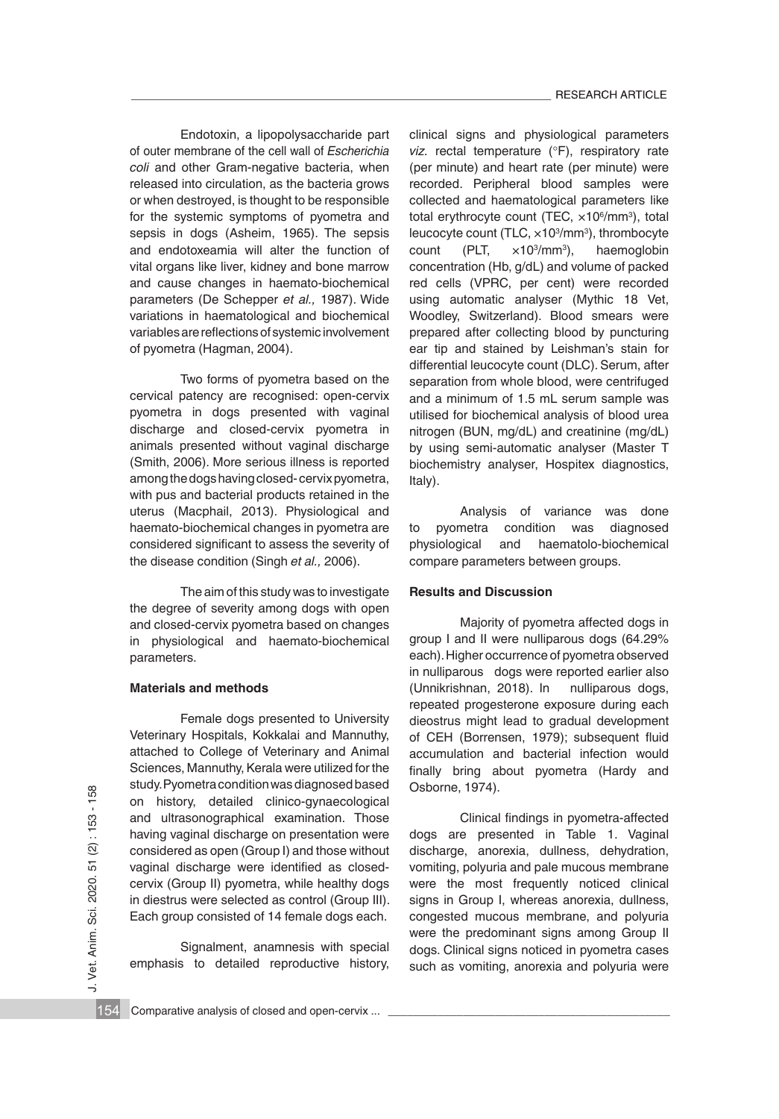Endotoxin, a lipopolysaccharide part of outer membrane of the cell wall of *Escherichia coli* and other Gram-negative bacteria, when released into circulation, as the bacteria grows or when destroyed, is thought to be responsible for the systemic symptoms of pyometra and sepsis in dogs (Asheim, 1965). The sepsis and endotoxeamia will alter the function of vital organs like liver, kidney and bone marrow and cause changes in haemato-biochemical parameters (De Schepper *et al.,* 1987). Wide variations in haematological and biochemical variables are reflections of systemic involvement of pyometra (Hagman, 2004).

Two forms of pyometra based on the cervical patency are recognised: open-cervix pyometra in dogs presented with vaginal discharge and closed-cervix pyometra in animals presented without vaginal discharge (Smith, 2006). More serious illness is reported among the dogs having closed- cervix pyometra, with pus and bacterial products retained in the uterus (Macphail, 2013). Physiological and haemato-biochemical changes in pyometra are considered significant to assess the severity of the disease condition (Singh *et al.,* 2006).

The aim of this study was to investigate the degree of severity among dogs with open and closed-cervix pyometra based on changes in physiological and haemato-biochemical parameters.

#### **Materials and methods**

Female dogs presented to University Veterinary Hospitals, Kokkalai and Mannuthy, attached to College of Veterinary and Animal Sciences, Mannuthy, Kerala were utilized for the study. Pyometra condition was diagnosed based on history, detailed clinico-gynaecological and ultrasonographical examination. Those having vaginal discharge on presentation were considered as open (Group I) and those without vaginal discharge were identified as closedcervix (Group II) pyometra, while healthy dogs in diestrus were selected as control (Group III). Each group consisted of 14 female dogs each.

Signalment, anamnesis with special emphasis to detailed reproductive history, clinical signs and physiological parameters *viz.* rectal temperature (°F), respiratory rate (per minute) and heart rate (per minute) were recorded. Peripheral blood samples were collected and haematological parameters like total erythrocyte count (TEC, ×10<sup>6</sup>/mm<sup>3</sup>), total leucocyte count (TLC, ×10<sup>3</sup> /mm3 ), thrombocyte count (PLT,  $\times$ 10<sup>3</sup>/mm<sup>3</sup>). haemoglobin concentration (Hb, g/dL) and volume of packed red cells (VPRC, per cent) were recorded using automatic analyser (Mythic 18 Vet, Woodley, Switzerland). Blood smears were prepared after collecting blood by puncturing ear tip and stained by Leishman's stain for differential leucocyte count (DLC). Serum, after separation from whole blood, were centrifuged and a minimum of 1.5 mL serum sample was utilised for biochemical analysis of blood urea nitrogen (BUN, mg/dL) and creatinine (mg/dL) by using semi-automatic analyser (Master T biochemistry analyser, Hospitex diagnostics, Italy).

Analysis of variance was done to pyometra condition was diagnosed physiological and haematolo-biochemical compare parameters between groups.

## **Results and Discussion**

Majority of pyometra affected dogs in group I and II were nulliparous dogs (64.29% each). Higher occurrence of pyometra observed in nulliparous dogs were reported earlier also (Unnikrishnan, 2018). In nulliparous dogs, repeated progesterone exposure during each dieostrus might lead to gradual development of CEH (Borrensen, 1979); subsequent fluid accumulation and bacterial infection would finally bring about pyometra (Hardy and Osborne, 1974).

Clinical findings in pyometra-affected dogs are presented in Table 1. Vaginal discharge, anorexia, dullness, dehydration, vomiting, polyuria and pale mucous membrane were the most frequently noticed clinical signs in Group I, whereas anorexia, dullness, congested mucous membrane, and polyuria were the predominant signs among Group II dogs. Clinical signs noticed in pyometra cases such as vomiting, anorexia and polyuria were 36 Comparative analysis of closed and open-cervix ...  $\frac{1}{2}$ <br>
154 Comparative analysis of closed and open-cervix (Group I) and those without discharge, anorexia, dullness, dehydration, vaginal discharge were identified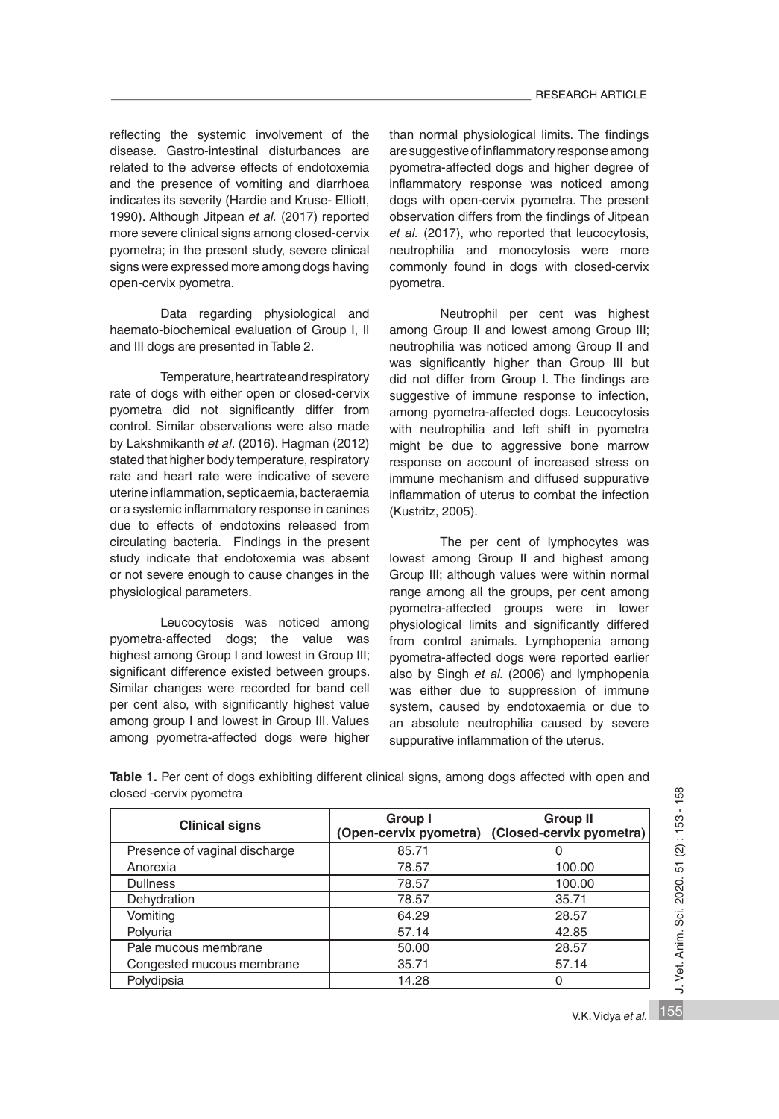reflecting the systemic involvement of the disease. Gastro-intestinal disturbances are related to the adverse effects of endotoxemia and the presence of vomiting and diarrhoea indicates its severity (Hardie and Kruse- Elliott, 1990). Although Jitpean *et al.* (2017) reported more severe clinical signs among closed-cervix pyometra; in the present study, severe clinical signs were expressed more among dogs having open-cervix pyometra.

Data regarding physiological and haemato-biochemical evaluation of Group I, II and III dogs are presented in Table 2.

Temperature, heart rate and respiratory rate of dogs with either open or closed-cervix pyometra did not significantly differ from control. Similar observations were also made by Lakshmikanth *et al*. (2016). Hagman (2012) stated that higher body temperature, respiratory rate and heart rate were indicative of severe uterine inflammation, septicaemia, bacteraemia or a systemic inflammatory response in canines due to effects of endotoxins released from circulating bacteria. Findings in the present study indicate that endotoxemia was absent or not severe enough to cause changes in the physiological parameters.

Leucocytosis was noticed among pyometra-affected dogs; the value was highest among Group I and lowest in Group III; significant difference existed between groups. Similar changes were recorded for band cell per cent also, with significantly highest value among group I and lowest in Group III. Values among pyometra-affected dogs were higher

than normal physiological limits. The findings are suggestive of inflammatory response among pyometra-affected dogs and higher degree of inflammatory response was noticed among dogs with open-cervix pyometra. The present observation differs from the findings of Jitpean *et al.* (2017), who reported that leucocytosis, neutrophilia and monocytosis were more commonly found in dogs with closed-cervix pyometra.

Neutrophil per cent was highest among Group II and lowest among Group III; neutrophilia was noticed among Group II and was significantly higher than Group III but did not differ from Group I. The findings are suggestive of immune response to infection, among pyometra-affected dogs. Leucocytosis with neutrophilia and left shift in pyometra might be due to aggressive bone marrow response on account of increased stress on immune mechanism and diffused suppurative inflammation of uterus to combat the infection (Kustritz, 2005).

The per cent of lymphocytes was lowest among Group II and highest among Group III; although values were within normal range among all the groups, per cent among pyometra-affected groups were in lower physiological limits and significantly differed from control animals. Lymphopenia among pyometra-affected dogs were reported earlier also by Singh *et al.* (2006) and lymphopenia was either due to suppression of immune system, caused by endotoxaemia or due to an absolute neutrophilia caused by severe suppurative inflammation of the uterus.

| <b>Clinical signs</b>         | Group I<br>(Open-cervix pyometra) | <b>Group II</b><br>(Closed-cervix pyometra) |  |
|-------------------------------|-----------------------------------|---------------------------------------------|--|
| Presence of vaginal discharge | 85.71                             |                                             |  |
| Anorexia                      | 78.57                             | 100.00                                      |  |
| <b>Dullness</b>               | 78.57                             | 100.00                                      |  |
| Dehydration                   | 78.57                             | 35.71                                       |  |
| Vomiting                      | 64.29                             | 28.57                                       |  |
| Polyuria                      | 57.14                             | 42.85                                       |  |
| Pale mucous membrane          | 50.00                             | 28.57                                       |  |
| Congested mucous membrane     | 35.71                             | 57.14                                       |  |
| Polydipsia                    | 14.28                             | 0                                           |  |

**Table 1.** Per cent of dogs exhibiting different clinical signs, among dogs affected with open and closed -cervix pyometra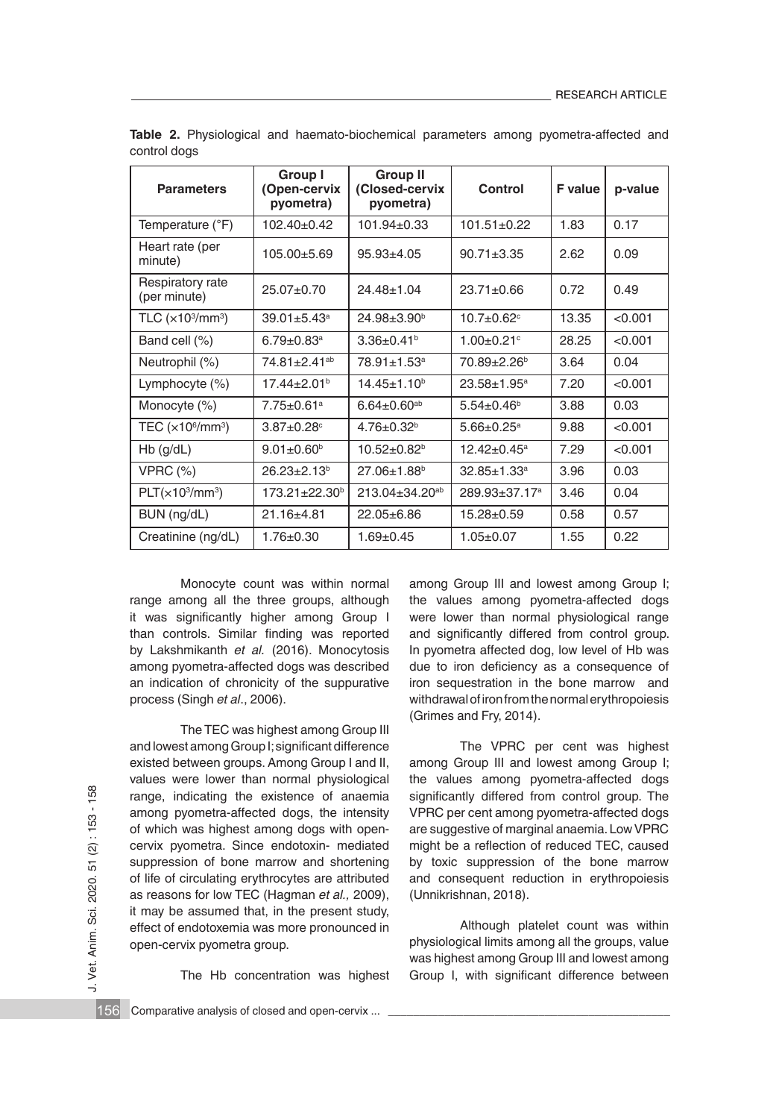| <b>Parameters</b>                       | Group I<br>(Open-cervix<br>pyometra) | <b>Group II</b><br>(Closed-cervix<br>pyometra) | Control                       | <b>F</b> value | p-value |
|-----------------------------------------|--------------------------------------|------------------------------------------------|-------------------------------|----------------|---------|
| Temperature (°F)                        | $102.40 + 0.42$                      | $101.94 + 0.33$                                | $101.51 + 0.22$               | 1.83           | 0.17    |
| Heart rate (per<br>minute)              | $105.00 \pm 5.69$                    | $95.93 \pm 4.05$                               | $90.71 \pm 3.35$              | 2.62           | 0.09    |
| Respiratory rate<br>(per minute)        | $25.07 \pm 0.70$                     | $24.48 + 1.04$                                 | $23.71 + 0.66$                | 0.72           | 0.49    |
| TLC $(x103/mm3)$                        | $39.01 \pm 5.43$ <sup>a</sup>        | $24.98 + 3.90b$                                | $10.7 + 0.62$ <sup>c</sup>    | 13.35          | < 0.001 |
| Band cell (%)                           | $6.79 + 0.83$ <sup>a</sup>           | $3.36\pm0.41^{b}$                              | $1.00 + 0.21$ °               | 28.25          | < 0.001 |
| Neutrophil (%)                          | 74.81+2.41 <sup>ab</sup>             | $78.91 \pm 1.53$ <sup>a</sup>                  | $70.89 \pm 2.26^{\circ}$      | 3.64           | 0.04    |
| Lymphocyte $(\%)$                       | $17.44 + 2.01b$                      | $14.45 + 1.10b$                                | $23.58 \pm 1.95^a$            | 7.20           | < 0.001 |
| Monocyte $(\%)$                         | $7.75 \pm 0.61$ <sup>a</sup>         | $6.64 \pm 0.60$ <sup>ab</sup>                  | $5.54 \pm 0.46^b$             | 3.88           | 0.03    |
| TEC $(x10^6/\text{mm}^3)$               | $3.87 + 0.28$                        | $4.76 + 0.32b$                                 | $5.66 + 0.25^a$               | 9.88           | < 0.001 |
| $Hb$ (g/dL)                             | $9.01 \pm 0.60^{\circ}$              | $10.52 \pm 0.82^b$                             | $12.42 \pm 0.45^a$            | 7.29           | < 0.001 |
| $VPRC (\%)$                             | $26.23 \pm 2.13^b$                   | $27.06 \pm 1.88$ <sup>b</sup>                  | $32.85 \pm 1.33$ <sup>a</sup> | 3.96           | 0.03    |
| PLT(x10 <sup>3</sup> /mm <sup>3</sup> ) | 173.21±22.30 <sup>b</sup>            | $213.04 \pm 34.20$ <sup>ab</sup>               | 289.93±37.17 <sup>a</sup>     | 3.46           | 0.04    |
| BUN (ng/dL)                             | $21.16 + 4.81$                       | $22.05 + 6.86$                                 | $15.28 + 0.59$                | 0.58           | 0.57    |
| Creatinine (ng/dL)                      | $1.76 \pm 0.30$                      | $1.69 \pm 0.45$                                | $1.05 \pm 0.07$               | 1.55           | 0.22    |

**Table 2.** Physiological and haemato-biochemical parameters among pyometra-affected and control dogs

Monocyte count was within normal range among all the three groups, although it was significantly higher among Group I than controls. Similar finding was reported by Lakshmikanth *et al.* (2016). Monocytosis among pyometra-affected dogs was described an indication of chronicity of the suppurative process (Singh *et al*., 2006).

The TEC was highest among Group III and lowest among Group I; significant difference existed between groups. Among Group I and II, values were lower than normal physiological range, indicating the existence of anaemia among pyometra-affected dogs, the intensity of which was highest among dogs with opencervix pyometra. Since endotoxin- mediated suppression of bone marrow and shortening of life of circulating erythrocytes are attributed as reasons for low TEC (Hagman *et al.,* 2009), it may be assumed that, in the present study, effect of endotoxemia was more pronounced in open-cervix pyometra group. range, indicating the existence of anaemia significantly differed from control group. The among pyometra-affected dogs, the intensity VPRC per cent among pyometra-affected dogs of which was highest among dogs with open-<br>

The Hb concentration was highest

among Group III and lowest among Group I; the values among pyometra-affected dogs were lower than normal physiological range and significantly differed from control group. In pyometra affected dog, low level of Hb was due to iron deficiency as a consequence of iron sequestration in the bone marrow and withdrawal of iron from the normal erythropoiesis (Grimes and Fry, 2014).

The VPRC per cent was highest among Group III and lowest among Group I; the values among pyometra-affected dogs significantly differed from control group. The VPRC per cent among pyometra-affected dogs are suggestive of marginal anaemia. Low VPRC might be a reflection of reduced TEC, caused by toxic suppression of the bone marrow and consequent reduction in erythropoiesis (Unnikrishnan, 2018).

Although platelet count was within physiological limits among all the groups, value was highest among Group III and lowest among Group I, with significant difference between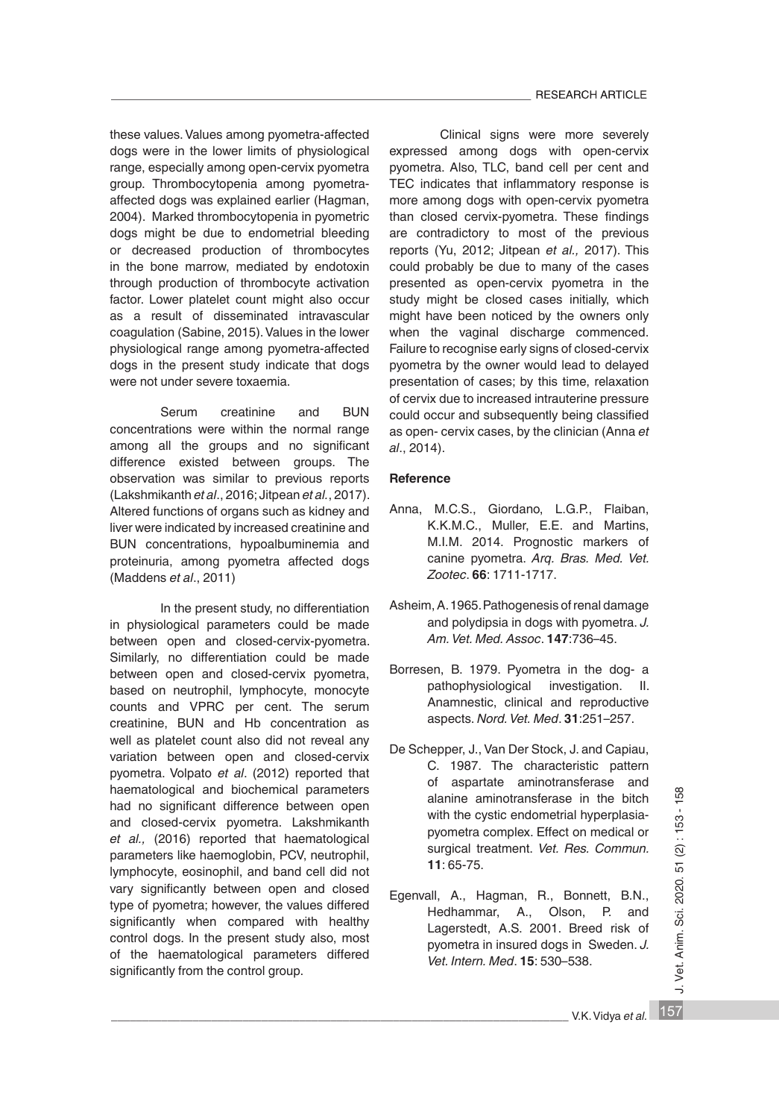these values. Values among pyometra-affected dogs were in the lower limits of physiological range, especially among open-cervix pyometra group. Thrombocytopenia among pyometraaffected dogs was explained earlier (Hagman, 2004). Marked thrombocytopenia in pyometric dogs might be due to endometrial bleeding or decreased production of thrombocytes in the bone marrow, mediated by endotoxin through production of thrombocyte activation factor. Lower platelet count might also occur as a result of disseminated intravascular coagulation (Sabine, 2015). Values in the lower physiological range among pyometra-affected dogs in the present study indicate that dogs were not under severe toxaemia.

Serum creatinine and BUN concentrations were within the normal range among all the groups and no significant difference existed between groups. The observation was similar to previous reports (Lakshmikanth *et al*., 2016; Jitpean *et al.*, 2017). Altered functions of organs such as kidney and liver were indicated by increased creatinine and BUN concentrations, hypoalbuminemia and proteinuria, among pyometra affected dogs (Maddens *et al*., 2011)

In the present study, no differentiation in physiological parameters could be made between open and closed-cervix-pyometra. Similarly, no differentiation could be made between open and closed-cervix pyometra, based on neutrophil, lymphocyte, monocyte counts and VPRC per cent. The serum creatinine, BUN and Hb concentration as well as platelet count also did not reveal any variation between open and closed-cervix pyometra. Volpato *et al*. (2012) reported that haematological and biochemical parameters had no significant difference between open and closed-cervix pyometra. Lakshmikanth *et al.,* (2016) reported that haematological parameters like haemoglobin, PCV, neutrophil, lymphocyte, eosinophil, and band cell did not vary significantly between open and closed type of pyometra; however, the values differed significantly when compared with healthy control dogs. In the present study also, most of the haematological parameters differed significantly from the control group. maematological and biochemical parameters<br>
and closed-cervix pyometra. Lakshmikanth<br>
en dimine aminotransferase in the bitch<br>
with the cystic endometrial hyperplasia-<br>
by mahoritical parameters like haemoglobin, PCV, neutr

Clinical signs were more severely expressed among dogs with open-cervix pyometra. Also, TLC, band cell per cent and TEC indicates that inflammatory response is more among dogs with open-cervix pyometra than closed cervix-pyometra. These findings are contradictory to most of the previous reports (Yu, 2012; Jitpean *et al.,* 2017). This could probably be due to many of the cases presented as open-cervix pyometra in the study might be closed cases initially, which might have been noticed by the owners only when the vaginal discharge commenced. Failure to recognise early signs of closed-cervix pyometra by the owner would lead to delayed presentation of cases; by this time, relaxation of cervix due to increased intrauterine pressure could occur and subsequently being classified as open- cervix cases, by the clinician (Anna *et al*., 2014).

## **Reference**

- Anna, M.C.S., Giordano, L.G.P., Flaiban, K.K.M.C., Muller, E.E. and Martins, M.I.M. 2014. Prognostic markers of canine pyometra. *Arq. Bras. Med. Vet. Zootec*. **66**: 1711-1717.
- Asheim, A. 1965. Pathogenesis of renal damage and polydipsia in dogs with pyometra. *J. Am. Vet. Med. Assoc*. **147**:736–45.
- Borresen, B. 1979. Pyometra in the dog- a pathophysiological investigation. II. Anamnestic, clinical and reproductive aspects. *Nord. Vet. Med*. **31**:251–257.
- De Schepper, J., Van Der Stock, J. and Capiau, C. 1987. The characteristic pattern of aspartate aminotransferase and alanine aminotransferase in the bitch with the cystic endometrial hyperplasiapyometra complex. Effect on medical or surgical treatment. *Vet. Res. Commun.*  **11**: 65-75.
- Egenvall, A., Hagman, R., Bonnett, B.N., Hedhammar, A., Olson, P. and Lagerstedt, A.S. 2001. Breed risk of pyometra in insured dogs in Sweden. *J. Vet. Intern. Med*. **15**: 530–538.